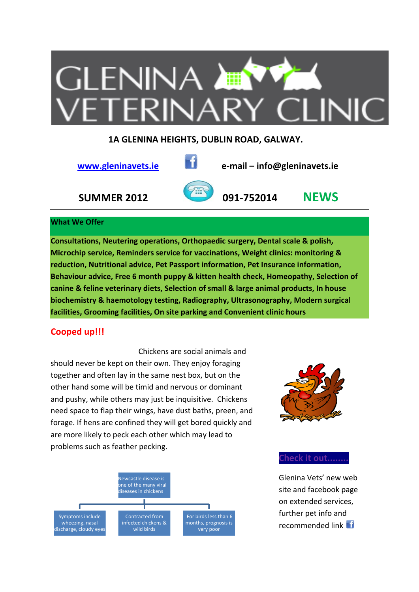

## **1A GLENINA HEIGHTS, DUBLIN ROAD, GALWAY.**



 **www.gleninavets.ie e‐mail – info@gleninavets.ie**

 **SUMMER 2012 091‐752014 NEWS**

## **What We Offer**

**Consultations, Neutering operations, Orthopaedic surgery, Dental scale & polish, Microchip service, Reminders service for vaccinations, Weight clinics: monitoring & reduction, Nutritional advice, Pet Passport information, Pet Insurance information, Behaviour advice, Free 6 month puppy & kitten health check, Homeopathy, Selection of canine & feline veterinary diets, Selection of small & large animal products, In house biochemistry & haemotology testing, Radiography, Ultrasonography, Modern surgical facilities, Grooming facilities, On site parking and Convenient clinic hours**

## **Cooped up!!!**

 Chickens are social animals and should never be kept on their own. They enjoy foraging together and often lay in the same nest box, but on the other hand some will be timid and nervous or dominant and pushy, while others may just be inquisitive. Chickens need space to flap their wings, have dust baths, preen, and forage. If hens are confined they will get bored quickly and are more likely to peck each other which may lead to problems such as feather pecking.





## **Check it out........**

Glenina Vets' new web site and facebook page on extended services, further pet info and recommended link